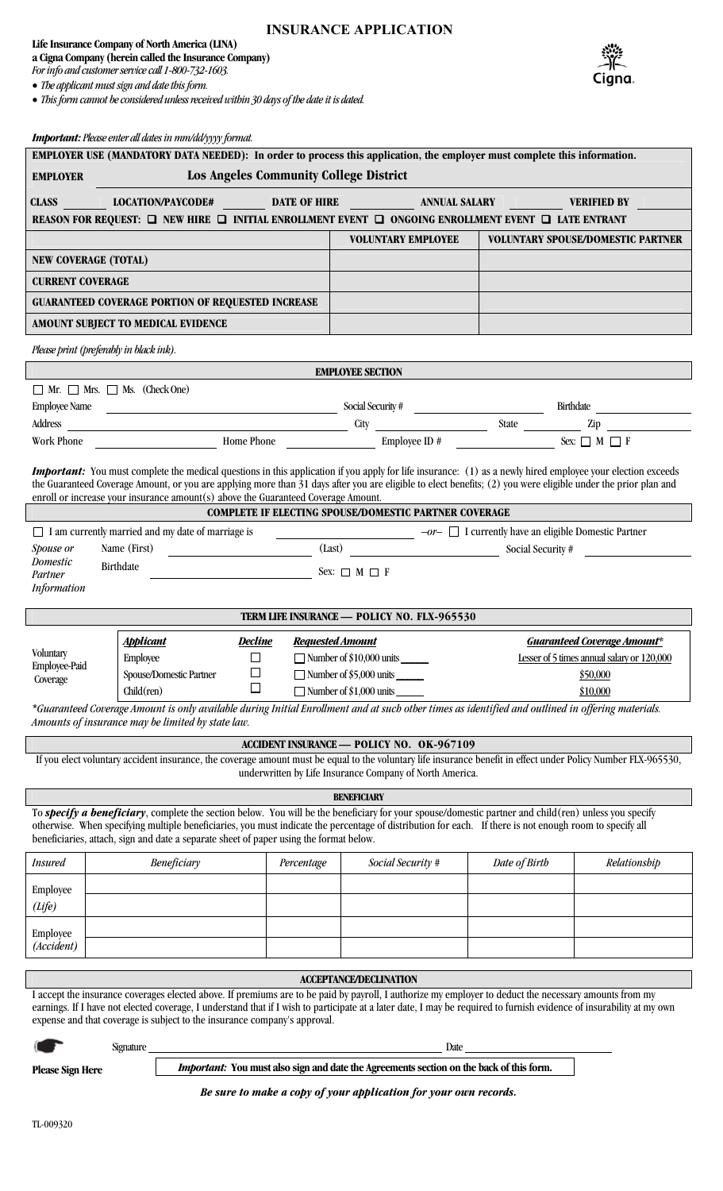# **INSURANCE APPLICATION**

**Life Insurance Company of North America (LINA)** 

**a Cigna Company (herein called the Insurance Company)** *For info and customer service call 1-800-732-1603.* 

*The applicant must sign and date this form.* 

*This form cannot be considered unless received within 30 days of the date it is dated.* 



#### *Important: Please enter all dates in mm/dd/yyyy format.*

|                                                                                                                                                                                                                                                                                                                                                                                                                           |                                               | roi innin í leuwe einer um annes in mini ann ffff forman.                              |                                        | EMPLOYER USE (MANDATORY DATA NEEDED): In order to process this application, the employer must complete this information.                                                                                                                                                                                                                                                                                                                                                        |                                    |                                          |  |  |  |  |  |  |
|---------------------------------------------------------------------------------------------------------------------------------------------------------------------------------------------------------------------------------------------------------------------------------------------------------------------------------------------------------------------------------------------------------------------------|-----------------------------------------------|----------------------------------------------------------------------------------------|----------------------------------------|---------------------------------------------------------------------------------------------------------------------------------------------------------------------------------------------------------------------------------------------------------------------------------------------------------------------------------------------------------------------------------------------------------------------------------------------------------------------------------|------------------------------------|------------------------------------------|--|--|--|--|--|--|
| <b>EMPLOYER</b>                                                                                                                                                                                                                                                                                                                                                                                                           |                                               |                                                                                        | Los Angeles Community College District |                                                                                                                                                                                                                                                                                                                                                                                                                                                                                 |                                    |                                          |  |  |  |  |  |  |
|                                                                                                                                                                                                                                                                                                                                                                                                                           |                                               |                                                                                        |                                        |                                                                                                                                                                                                                                                                                                                                                                                                                                                                                 |                                    |                                          |  |  |  |  |  |  |
| REASON FOR REQUEST: $\Box$ NEW HIRE $\Box$ INITIAL ENROLLMENT EVENT $\Box$ ONGOING ENROLLMENT EVENT $\Box$ LATE ENTRANT                                                                                                                                                                                                                                                                                                   |                                               |                                                                                        |                                        |                                                                                                                                                                                                                                                                                                                                                                                                                                                                                 |                                    |                                          |  |  |  |  |  |  |
|                                                                                                                                                                                                                                                                                                                                                                                                                           |                                               |                                                                                        |                                        | <b>VOLUNTARY EMPLOYEE</b>                                                                                                                                                                                                                                                                                                                                                                                                                                                       |                                    | <b>VOLUNTARY SPOUSE/DOMESTIC PARTNER</b> |  |  |  |  |  |  |
| <b>NEW COVERAGE (TOTAL)</b>                                                                                                                                                                                                                                                                                                                                                                                               |                                               |                                                                                        |                                        |                                                                                                                                                                                                                                                                                                                                                                                                                                                                                 |                                    |                                          |  |  |  |  |  |  |
| <b>CURRENT COVERAGE</b>                                                                                                                                                                                                                                                                                                                                                                                                   |                                               |                                                                                        |                                        |                                                                                                                                                                                                                                                                                                                                                                                                                                                                                 |                                    |                                          |  |  |  |  |  |  |
|                                                                                                                                                                                                                                                                                                                                                                                                                           |                                               | <b>GUARANTEED COVERAGE PORTION OF REQUESTED INCREASE</b>                               |                                        |                                                                                                                                                                                                                                                                                                                                                                                                                                                                                 |                                    |                                          |  |  |  |  |  |  |
|                                                                                                                                                                                                                                                                                                                                                                                                                           |                                               | AMOUNT SUBJECT TO MEDICAL EVIDENCE                                                     |                                        |                                                                                                                                                                                                                                                                                                                                                                                                                                                                                 |                                    |                                          |  |  |  |  |  |  |
| Please print (preferably in black ink).                                                                                                                                                                                                                                                                                                                                                                                   |                                               |                                                                                        |                                        |                                                                                                                                                                                                                                                                                                                                                                                                                                                                                 |                                    |                                          |  |  |  |  |  |  |
| <b>EMPLOYEE SECTION</b>                                                                                                                                                                                                                                                                                                                                                                                                   |                                               |                                                                                        |                                        |                                                                                                                                                                                                                                                                                                                                                                                                                                                                                 |                                    |                                          |  |  |  |  |  |  |
|                                                                                                                                                                                                                                                                                                                                                                                                                           | $\Box$ Mr. $\Box$ Mrs. $\Box$ Ms. (Check One) |                                                                                        |                                        |                                                                                                                                                                                                                                                                                                                                                                                                                                                                                 |                                    |                                          |  |  |  |  |  |  |
|                                                                                                                                                                                                                                                                                                                                                                                                                           |                                               |                                                                                        |                                        | Employee Name Social Security # Social Security # Birthdate Birthdate Birthdate Birthdate Birthdate Birthdate Birthdate Birthdate Birthdate Birthdate Birthdate Birthdate Birthdate Birthdate Birthdate Birthdate Birthdate Bi                                                                                                                                                                                                                                                  |                                    |                                          |  |  |  |  |  |  |
|                                                                                                                                                                                                                                                                                                                                                                                                                           |                                               |                                                                                        |                                        |                                                                                                                                                                                                                                                                                                                                                                                                                                                                                 |                                    |                                          |  |  |  |  |  |  |
|                                                                                                                                                                                                                                                                                                                                                                                                                           |                                               |                                                                                        |                                        | Work Phone $\qquad \qquad \qquad$ Home Phone $\qquad \qquad$ Employee ID #                                                                                                                                                                                                                                                                                                                                                                                                      |                                    |                                          |  |  |  |  |  |  |
| <b>Important:</b> You must complete the medical questions in this application if you apply for life insurance: (1) as a newly hired employee your election exceeds<br>the Guaranteed Coverage Amount, or you are applying more than 31 days after you are eligible to elect benefits; (2) you were eligible under the prior plan and<br>enroll or increase your insurance amount(s) above the Guaranteed Coverage Amount. |                                               |                                                                                        |                                        |                                                                                                                                                                                                                                                                                                                                                                                                                                                                                 |                                    |                                          |  |  |  |  |  |  |
|                                                                                                                                                                                                                                                                                                                                                                                                                           |                                               |                                                                                        |                                        | <b>COMPLETE IF ELECTING SPOUSE/DOMESTIC PARTNER COVERAGE</b>                                                                                                                                                                                                                                                                                                                                                                                                                    |                                    |                                          |  |  |  |  |  |  |
|                                                                                                                                                                                                                                                                                                                                                                                                                           |                                               | $\Box$ I am currently married and my date of marriage is                               |                                        | $\overline{\phantom{a}}$ $\overline{\phantom{a}}$ $\overline{\phantom{a}}$ $\overline{\phantom{a}}$ $\overline{\phantom{a}}$ $\overline{\phantom{a}}$ $\overline{\phantom{a}}$ $\overline{\phantom{a}}$ $\overline{\phantom{a}}$ $\overline{\phantom{a}}$ $\overline{\phantom{a}}$ $\overline{\phantom{a}}$ $\overline{\phantom{a}}$ $\overline{\phantom{a}}$ $\overline{\phantom{a}}$ $\overline{\phantom{a}}$ $\overline{\phantom{a}}$ $\overline{\phantom{a}}$ $\overline{\$ |                                    |                                          |  |  |  |  |  |  |
| Spouse or                                                                                                                                                                                                                                                                                                                                                                                                                 |                                               |                                                                                        |                                        | Name (First) Clast Class Class Cocial Security #                                                                                                                                                                                                                                                                                                                                                                                                                                |                                    |                                          |  |  |  |  |  |  |
| Domestic<br>Partner                                                                                                                                                                                                                                                                                                                                                                                                       | Birthdate                                     | $\begin{array}{c}\n\hline\n\end{array}$ Sex: $\Box$ M $\Box$ F                         |                                        |                                                                                                                                                                                                                                                                                                                                                                                                                                                                                 |                                    |                                          |  |  |  |  |  |  |
| <b>Information</b>                                                                                                                                                                                                                                                                                                                                                                                                        |                                               |                                                                                        |                                        |                                                                                                                                                                                                                                                                                                                                                                                                                                                                                 |                                    |                                          |  |  |  |  |  |  |
|                                                                                                                                                                                                                                                                                                                                                                                                                           |                                               |                                                                                        |                                        |                                                                                                                                                                                                                                                                                                                                                                                                                                                                                 |                                    |                                          |  |  |  |  |  |  |
|                                                                                                                                                                                                                                                                                                                                                                                                                           |                                               |                                                                                        |                                        | TERM LIFE INSURANCE - POLICY NO. FLX-965530                                                                                                                                                                                                                                                                                                                                                                                                                                     |                                    |                                          |  |  |  |  |  |  |
| Voluntary                                                                                                                                                                                                                                                                                                                                                                                                                 | <b>Applicant</b>                              | <u>Decline</u>                                                                         | <b>Requested Amount</b>                |                                                                                                                                                                                                                                                                                                                                                                                                                                                                                 | <b>Guaranteed Coverage Amount*</b> |                                          |  |  |  |  |  |  |
| Employee-Paid                                                                                                                                                                                                                                                                                                                                                                                                             | Employee                                      | $\Box$<br>$\Box$                                                                       |                                        | $\Box$ Number of \$10,000 units $\Box$<br>Lesser of 5 times annual salary or 120,000<br>Number of \$5,000 units                                                                                                                                                                                                                                                                                                                                                                 |                                    |                                          |  |  |  |  |  |  |
| Coverage                                                                                                                                                                                                                                                                                                                                                                                                                  | $Child$ (ren)                                 | Spouse/Domestic Partner                                                                |                                        | $\Box$ Number of \$1,000 units                                                                                                                                                                                                                                                                                                                                                                                                                                                  | \$50,000<br>\$10,000               |                                          |  |  |  |  |  |  |
|                                                                                                                                                                                                                                                                                                                                                                                                                           |                                               |                                                                                        |                                        | *Guaranteed Coverage Amount is only available during Initial Enrollment and at such other times as identified and outlined in offering materials.                                                                                                                                                                                                                                                                                                                               |                                    |                                          |  |  |  |  |  |  |
|                                                                                                                                                                                                                                                                                                                                                                                                                           |                                               | Amounts of insurance may be limited by state law.                                      |                                        |                                                                                                                                                                                                                                                                                                                                                                                                                                                                                 |                                    |                                          |  |  |  |  |  |  |
|                                                                                                                                                                                                                                                                                                                                                                                                                           |                                               |                                                                                        |                                        | <b>ACCIDENT INSURANCE — POLICY NO. OK-967109</b>                                                                                                                                                                                                                                                                                                                                                                                                                                |                                    |                                          |  |  |  |  |  |  |
|                                                                                                                                                                                                                                                                                                                                                                                                                           |                                               |                                                                                        |                                        | If you elect voluntary accident insurance, the coverage amount must be equal to the voluntary life insurance benefit in effect under Policy Number FLX-965530,<br>underwritten by Life Insurance Company of North America.                                                                                                                                                                                                                                                      |                                    |                                          |  |  |  |  |  |  |
|                                                                                                                                                                                                                                                                                                                                                                                                                           |                                               |                                                                                        |                                        | <b>BENEFICIARY</b>                                                                                                                                                                                                                                                                                                                                                                                                                                                              |                                    |                                          |  |  |  |  |  |  |
|                                                                                                                                                                                                                                                                                                                                                                                                                           |                                               |                                                                                        |                                        | To specify a beneficiary, complete the section below. You will be the beneficiary for your spouse/domestic partner and child(ren) unless you specify                                                                                                                                                                                                                                                                                                                            |                                    |                                          |  |  |  |  |  |  |
|                                                                                                                                                                                                                                                                                                                                                                                                                           |                                               | beneficiaries, attach, sign and date a separate sheet of paper using the format below. |                                        | otherwise. When specifying multiple beneficiaries, you must indicate the percentage of distribution for each. If there is not enough room to specify all                                                                                                                                                                                                                                                                                                                        |                                    |                                          |  |  |  |  |  |  |
| <i>Insured</i>                                                                                                                                                                                                                                                                                                                                                                                                            |                                               | Beneficiary                                                                            | Percentage                             | Social Security #                                                                                                                                                                                                                                                                                                                                                                                                                                                               | Date of Birth                      | Relationship                             |  |  |  |  |  |  |
| Employee                                                                                                                                                                                                                                                                                                                                                                                                                  |                                               |                                                                                        |                                        |                                                                                                                                                                                                                                                                                                                                                                                                                                                                                 |                                    |                                          |  |  |  |  |  |  |
| (Life)                                                                                                                                                                                                                                                                                                                                                                                                                    |                                               |                                                                                        |                                        |                                                                                                                                                                                                                                                                                                                                                                                                                                                                                 |                                    |                                          |  |  |  |  |  |  |
| Employee                                                                                                                                                                                                                                                                                                                                                                                                                  |                                               |                                                                                        |                                        |                                                                                                                                                                                                                                                                                                                                                                                                                                                                                 |                                    |                                          |  |  |  |  |  |  |
|                                                                                                                                                                                                                                                                                                                                                                                                                           |                                               |                                                                                        |                                        |                                                                                                                                                                                                                                                                                                                                                                                                                                                                                 |                                    |                                          |  |  |  |  |  |  |
| (Accident)                                                                                                                                                                                                                                                                                                                                                                                                                |                                               |                                                                                        |                                        |                                                                                                                                                                                                                                                                                                                                                                                                                                                                                 |                                    |                                          |  |  |  |  |  |  |
|                                                                                                                                                                                                                                                                                                                                                                                                                           |                                               |                                                                                        |                                        |                                                                                                                                                                                                                                                                                                                                                                                                                                                                                 |                                    |                                          |  |  |  |  |  |  |
|                                                                                                                                                                                                                                                                                                                                                                                                                           |                                               |                                                                                        |                                        | <b>ACCEPTANCE/DECLINATION</b>                                                                                                                                                                                                                                                                                                                                                                                                                                                   |                                    |                                          |  |  |  |  |  |  |
|                                                                                                                                                                                                                                                                                                                                                                                                                           |                                               |                                                                                        |                                        | I accept the insurance coverages elected above. If premiums are to be paid by payroll, I authorize my employer to deduct the necessary amounts from my<br>earnings. If I have not elected coverage, I understand that if I wish to participate at a later date, I may be required to furnish evidence of insurability at my own                                                                                                                                                 |                                    |                                          |  |  |  |  |  |  |
|                                                                                                                                                                                                                                                                                                                                                                                                                           |                                               | expense and that coverage is subject to the insurance company's approval.              |                                        |                                                                                                                                                                                                                                                                                                                                                                                                                                                                                 |                                    |                                          |  |  |  |  |  |  |
|                                                                                                                                                                                                                                                                                                                                                                                                                           | <b>Signature</b>                              |                                                                                        |                                        | Date                                                                                                                                                                                                                                                                                                                                                                                                                                                                            |                                    |                                          |  |  |  |  |  |  |

*Be sure to make a copy of your application for your own records.*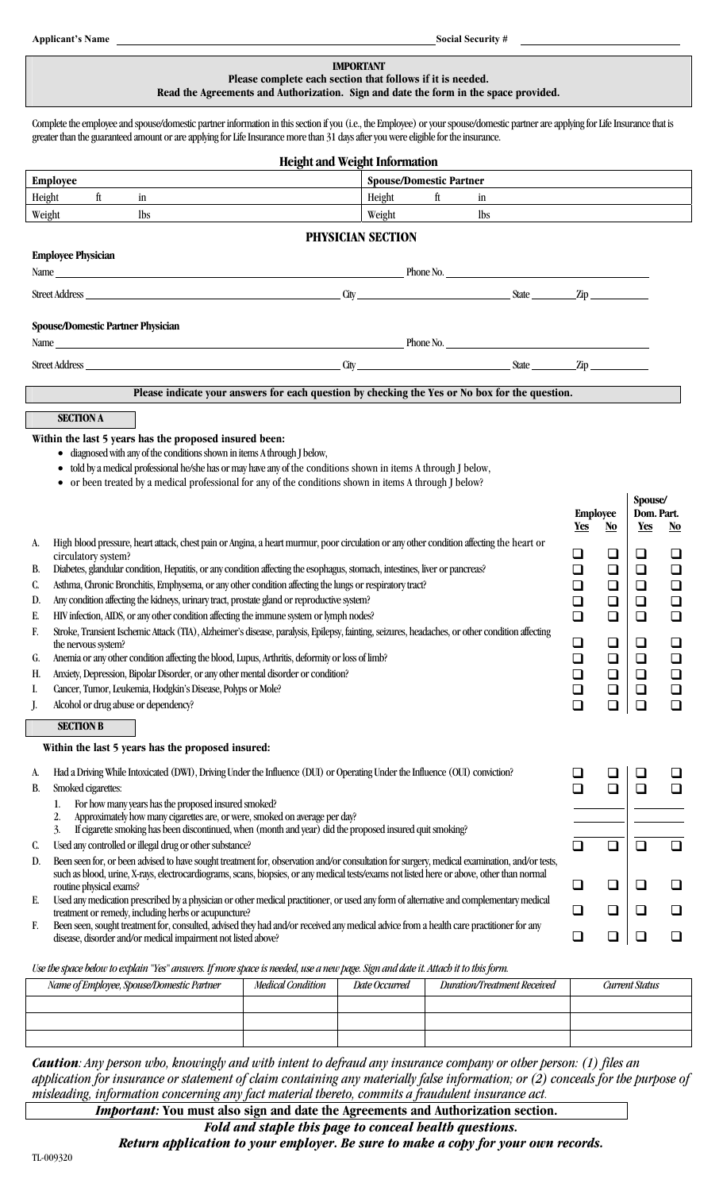#### **IMPORTANT Please complete each section that follows if it is needed. Read the Agreements and Authorization. Sign and date the form in the space provided.**

Complete the employee and spouse/domestic partner information in this section if you (i.e., the Employee) or your spouse/domestic partner are applying for Life Insurance that is greater than the guaranteed amount or are applying for Life Insurance more than 31 days after you were eligible for the insurance.

| <b>Height and Weight Information</b>                                                                                                                                                                 |                                |          |                                                 |        |                          |        |  |  |  |  |  |  |
|------------------------------------------------------------------------------------------------------------------------------------------------------------------------------------------------------|--------------------------------|----------|-------------------------------------------------|--------|--------------------------|--------|--|--|--|--|--|--|
| <b>Employee</b>                                                                                                                                                                                      | <b>Spouse/Domestic Partner</b> |          |                                                 |        |                          |        |  |  |  |  |  |  |
| Height<br>ft<br>in                                                                                                                                                                                   | Height                         | ft<br>in |                                                 |        |                          |        |  |  |  |  |  |  |
| Weight<br><b>lbs</b>                                                                                                                                                                                 | Weight                         | lbs      |                                                 |        |                          |        |  |  |  |  |  |  |
| PHYSICIAN SECTION                                                                                                                                                                                    |                                |          |                                                 |        |                          |        |  |  |  |  |  |  |
| <b>Employee Physician</b>                                                                                                                                                                            |                                |          |                                                 |        |                          |        |  |  |  |  |  |  |
| Name Phone No. Phone No.                                                                                                                                                                             |                                |          |                                                 |        |                          |        |  |  |  |  |  |  |
|                                                                                                                                                                                                      |                                |          |                                                 |        |                          |        |  |  |  |  |  |  |
|                                                                                                                                                                                                      |                                |          |                                                 |        |                          |        |  |  |  |  |  |  |
|                                                                                                                                                                                                      |                                |          |                                                 |        |                          |        |  |  |  |  |  |  |
| <b>Spouse/Domestic Partner Physician</b>                                                                                                                                                             |                                |          |                                                 |        |                          |        |  |  |  |  |  |  |
| Name Phone No.                                                                                                                                                                                       |                                |          |                                                 |        |                          |        |  |  |  |  |  |  |
|                                                                                                                                                                                                      |                                |          |                                                 |        |                          |        |  |  |  |  |  |  |
| Please indicate your answers for each question by checking the Yes or No box for the question.                                                                                                       |                                |          |                                                 |        |                          |        |  |  |  |  |  |  |
|                                                                                                                                                                                                      |                                |          |                                                 |        |                          |        |  |  |  |  |  |  |
| <b>SECTION A</b>                                                                                                                                                                                     |                                |          |                                                 |        |                          |        |  |  |  |  |  |  |
| Within the last 5 years has the proposed insured been:                                                                                                                                               |                                |          |                                                 |        |                          |        |  |  |  |  |  |  |
| diagnosed with any of the conditions shown in items A through J below,                                                                                                                               |                                |          |                                                 |        |                          |        |  |  |  |  |  |  |
| told by a medical professional he/she has or may have any of the conditions shown in items A through J below,                                                                                        |                                |          |                                                 |        |                          |        |  |  |  |  |  |  |
| or been treated by a medical professional for any of the conditions shown in items A through J below?                                                                                                |                                |          |                                                 |        |                          |        |  |  |  |  |  |  |
|                                                                                                                                                                                                      |                                |          |                                                 |        | Spouse/                  |        |  |  |  |  |  |  |
|                                                                                                                                                                                                      |                                |          | <b>Employee</b><br><b>Yes</b><br>N <sub>o</sub> |        | Dom. Part.<br><u>Yes</u> | No     |  |  |  |  |  |  |
| High blood pressure, heart attack, chest pain or Angina, a heart murmur, poor circulation or any other condition affecting the heart or<br>А.                                                        |                                |          |                                                 |        |                          |        |  |  |  |  |  |  |
| circulatory system?                                                                                                                                                                                  |                                |          | ⊔                                               | $\Box$ | ❏                        | ❏      |  |  |  |  |  |  |
| Diabetes, glandular condition, Hepatitis, or any condition affecting the esophagus, stomach, intestines, liver or pancreas?<br>B.                                                                    |                                | ❏        | $\Box$                                          | $\Box$ |                          |        |  |  |  |  |  |  |
| Asthma, Chronic Bronchitis, Emphysema, or any other condition affecting the lungs or respiratory tract?<br>C.                                                                                        |                                | □        | $\Box$                                          | $\Box$ |                          |        |  |  |  |  |  |  |
| Any condition affecting the kidneys, urinary tract, prostate gland or reproductive system?<br>D.                                                                                                     |                                |          | $\Box$                                          | $\Box$ |                          |        |  |  |  |  |  |  |
| HIV infection, AIDS, or any other condition affecting the immune system or lymph nodes?<br>Е.                                                                                                        | $\Box$                         | $\Box$   | ❏                                               | $\Box$ |                          |        |  |  |  |  |  |  |
| Stroke, Transient Ischemic Attack (TIA), Alzheimer's disease, paralysis, Epilepsy, fainting, seizures, headaches, or other condition affecting<br>F.                                                 | ❏                              | $\Box$   | ❏                                               | ❏      |                          |        |  |  |  |  |  |  |
| the nervous system?<br>Anemia or any other condition affecting the blood, Lupus, Arthritis, deformity or loss of limb?<br>G.                                                                         |                                | $\Box$   | $\Box$                                          | $\Box$ |                          |        |  |  |  |  |  |  |
| Anxiety, Depression, Bipolar Disorder, or any other mental disorder or condition?<br>Н.                                                                                                              |                                | $\Box$   | $\Box$                                          | $\Box$ |                          |        |  |  |  |  |  |  |
| Cancer, Tumor, Leukemia, Hodgkin's Disease, Polyps or Mole?<br>I.                                                                                                                                    | $\Box$                         |          |                                                 |        |                          |        |  |  |  |  |  |  |
| Alcohol or drug abuse or dependency?<br>J.                                                                                                                                                           |                                |          |                                                 |        |                          |        |  |  |  |  |  |  |
| <b>SECTION B</b>                                                                                                                                                                                     |                                |          |                                                 |        |                          |        |  |  |  |  |  |  |
|                                                                                                                                                                                                      |                                |          |                                                 |        |                          |        |  |  |  |  |  |  |
| Within the last 5 years has the proposed insured:                                                                                                                                                    |                                |          |                                                 |        |                          |        |  |  |  |  |  |  |
| Had a Driving While Intoxicated (DWI), Driving Under the Influence (DUI) or Operating Under the Influence (OUI) conviction?<br>А.                                                                    |                                |          |                                                 |        |                          |        |  |  |  |  |  |  |
| Smoked cigarettes:<br>B.                                                                                                                                                                             |                                |          |                                                 | ❏      | ❏                        | $\Box$ |  |  |  |  |  |  |
| For how many years has the proposed insured smoked?<br>1.                                                                                                                                            |                                |          |                                                 |        |                          |        |  |  |  |  |  |  |
| Approximately how many cigarettes are, or were, smoked on average per day?<br>2.<br>If cigarette smoking has been discontinued, when (month and year) did the proposed insured quit smoking?<br>3.   |                                |          |                                                 |        |                          |        |  |  |  |  |  |  |
| Used any controlled or illegal drug or other substance?<br>C.                                                                                                                                        | $\Box$                         | $\Box$   | $\Box$                                          | $\Box$ |                          |        |  |  |  |  |  |  |
| Been seen for, or been advised to have sought treatment for, observation and/or consultation for surgery, medical examination, and/or tests,<br>D.                                                   |                                |          |                                                 |        |                          |        |  |  |  |  |  |  |
| such as blood, urine, X-rays, electrocardiograms, scans, biopsies, or any medical tests/exams not listed here or above, other than normal                                                            |                                |          |                                                 |        |                          |        |  |  |  |  |  |  |
| routine physical exams?                                                                                                                                                                              | ❏                              | ❏        | ❏                                               | ❏      |                          |        |  |  |  |  |  |  |
| Used any medication prescribed by a physician or other medical practitioner, or used any form of alternative and complementary medical<br>Е.<br>treatment or remedy, including herbs or acupuncture? |                                |          | ❏                                               | $\Box$ | $\Box$                   | $\Box$ |  |  |  |  |  |  |
| Been seen, sought treatment for, consulted, advised they had and/or received any medical advice from a health care practitioner for any<br>F.                                                        |                                |          |                                                 |        |                          |        |  |  |  |  |  |  |
| disease, disorder and/or medical impairment not listed above?                                                                                                                                        | ❏                              | $\Box$   | $\Box$                                          | $\Box$ |                          |        |  |  |  |  |  |  |
| Use the space below to explain "Yes" answers. If more space is needed, use a new page. Sign and date it. Attach it to this form.                                                                     |                                |          |                                                 |        |                          |        |  |  |  |  |  |  |

*Name of Employee, Spouse/Domestic Partner Medical Condition Date Occurred Duration/Treatment Received Current Status*

*Caution: Any person who, knowingly and with intent to defraud any insurance company or other person: (1) files an application for insurance or statement of claim containing any materially false information; or (2) conceals for the purpose of misleading, information concerning any fact material thereto, commits a fraudulent insurance act. Important:* **You must also sign and date the Agreements and Authorization section.**

*Fold and staple this page to conceal health questions.* 

## *Return application to your employer. Be sure to make a copy for your own records.*